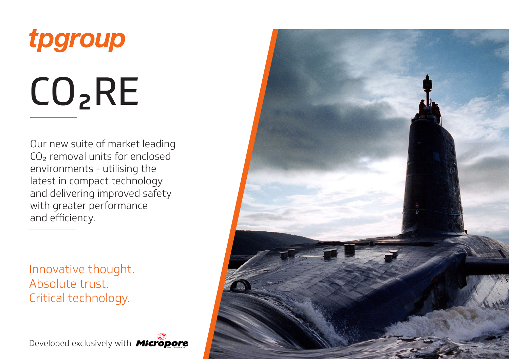

Our new suite of market leading CO2 removal units for enclosed environments - utilising the latest in compact technology and delivering improved safety with greater performance and efficiency.

Innovative thought. Absolute trust. Critical technology.